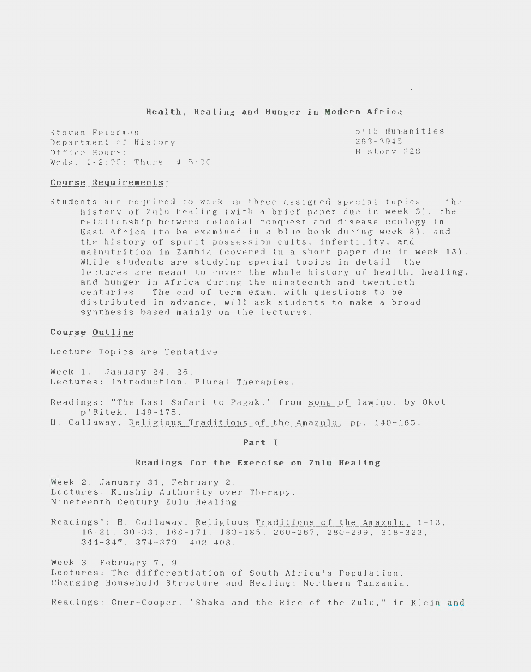Health, Healing and Hunger in Modern Africa

Steven Felerman Department of History Office Hours: Weds.  $1-2:00$ : Thurs.  $4-5:00$  5115 Humanities  $263 - 3945$ History 328

#### Course Requirements:

Students are required to work on three assigned special topics -- the history of Zulu healing (with a brief paper due in week 5). the relationship between colonial conquest and disease ecology in East Africa (to be examined in a blue book during week 8), and the history of spirit possession cults, infertility, and malnutrition in Zambia (covered in a short paper due in week 13). While students are studying special topics in detail, the lectures are meant to cover the whole history of health, healing. and hunger in Africa during the nineteenth and twentieth centuries. The end of term exam, with questions to be distributed in advance, will ask students to make a broad synthesis based mainly on the lectures.

#### Course Outline

Lecture Topics are Tentative

Week 1. January 24, 26. Lectures: Introduction. Plural Therapies.

Readings: "The Last Safari to Pagak," from song of lawino, by Okot p'Bitek, 149-175.

H. Callaway, Religious Traditions of the Amazulu. pp. 140-165.

# Part I

## Readings for the Exercise on Zulu Healing.

Week 2. January 31, February 2. Lectures: Kinship Authority over Therapy. Nineteenth Century Zulu Healing.

Readings": H. Callaway, Religious Traditions of the Amazulu. 1-13,  $16-21$ ,  $30-33$ ,  $168-171$ ,  $183-185$ ,  $260-267$ ,  $280-299$ ,  $318-323$ .  $344 - 347$ .  $374 - 379$ .  $402 - 403$ .

Week 3. February 7, 9. Lectures: The differentiation of South Africa's Population. Changing Household Structure and Healing: Northern Tanzania.

Readings: Omer-Cooper. "Shaka and the Rise of the Zulu." in Klein and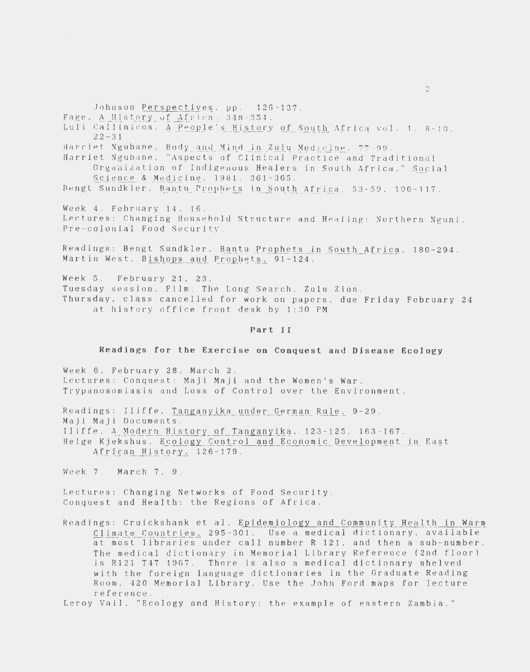Johnson Perspectives, pp. 126-137.

Fage. A History of Africa. 348-354.

Luli Callinicos. A People's History of South Africa vol. 1. 8-10.  $22 - 31$ 

Harriet Ngubane, Body and Mind in Zulu Medicine, 77-99.

Harriet Ngubane, "Aspects of Clinical Practice and Traditional Organization of Indigenous Healers in South Africa." Social Science & Medicine, 1981, 361-365.

Bengt Sundkler. Bantu Prophets in South Africa. 53-59. 106-117.

Week 4. February 14. 16. Lectures: Changing Household Structure and Healing: Northern Nguni. Pre-colonial Food Security.

Readings: Bengt Sundkler. Bantu Prophets in South Africa. 180-294. Martin West, Bishops and Prophets, 91-124.

Week 5. February 21, 23. Tuesday session. Film: The Long Search. Zulu Zion. Thursday, class cancelled for work on papers, due Friday February 24 at history office front desk by 1:30 PM

### Part II

# Readings for the Exercise on Conquest and Disease Ecology

Week 6. February 28, March 2. Lectures: Conquest: Maji Maji and the Women's War. Trypanosomiasis and Loss of Control over the Environment.

Readings: Iliffe. Tanganyika under German Rule. 9-29. Maji Maji Documents. Iliffe, A Modern History of Tanganyika, 123-125, 163-167. Helge Kjekshus, Ecology Control and Economic Development in East African History, 126-179.

Week 7. March 7. 9.

Lectures: Changing Networks of Food Security. Conquest and Health: the Regions of Africa.

Readings: Cruickshank et al. Epidemiology and Community Health in Warm Climate Countries, 295-301. Use a medical dictionary, available at most libraries under call number R 121, and then a sub-number. The medical dictionary in Memorial Library Reference (2nd floor) is R121 T47 1967. There is also a medical dictionary shelved with the foreign language dictionaries in the Graduate Reading Room, 420 Memorial Library. Use the John Ford maps for lecture reference.

Leroy Vail, "Ecology and History: the example of eastern Zambia."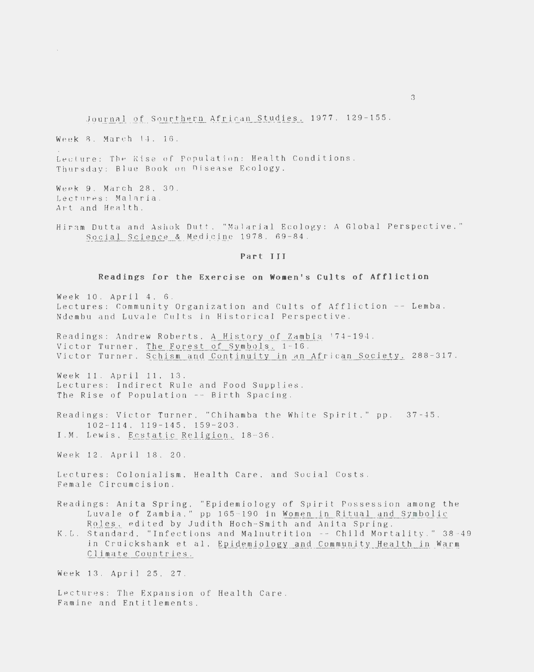Journal of Sourthern African Studies, 1977. 129-155.

Week 8. March 14. 16.

Lecture: The Rise of Population: Health Conditions. Thursday: Blue Book on Disease Ecology.

Week 9. March 28. 30 . Lectures: Malaria. Art and Health.

Hiram Dutta and Ashok Dutt. "Malarial Ecology: A Global Perspective." Social Science & Medicine 1978. 69-84.

# Part III

#### Readings for the Exercise on Women's Cults of Affliction

Week 10 . April 4. 6 . Lectures: Community Organization and Cults of Affliction -- Lemba. Ndembu and Luvale Cults in Historical Perspective .

Readings: Andrew Roberts, A History of Zambia 174-194. Victor Turner. The Forest of Symbols. 1-16 . Victor Turner. Schism and Continuity in an African Society. 288-317.

Week 11. April 11. 13. Lectures: Indirect Rule and Food Supplies. The Rise of Population -- Birth Spacing.

Readings: Victor Turner. "Chihamba the Whlte Spirit." pp. 37 - 45. 102-114. 119-145. 159-203. I.M. Lewis, Ecstatic Religion, 18-36.

Week 12. April 18. 20.

Lectures: Colonialism, Health Care. and Social Costs . Female Circumcision.

Readings: Anita Spring, "Epidemiology of Spirit Possession among the Luvale of Zambia," pp 165-190 in Women in Ritual and Symbolic Roles, edited by Judith Hoch-Smith and Anita Spring.

K.L. Standard, "Infections and Malnutrition -- Child Mortality." 38-49 in Cruickshank et al. Epidemiology and Community Health in Warm Climate Countries.

Week 13. April 25. 27.

Lectures: The Expansion of Health Care . Famine and Entitlements.

3